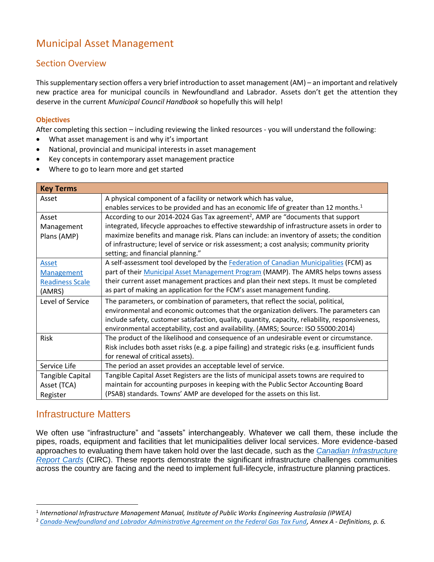# Municipal Asset Management

### Section Overview

This supplementary section offers a very brief introduction to asset management (AM) – an important and relatively new practice area for municipal councils in Newfoundland and Labrador. Assets don't get the attention they deserve in the current *Municipal Council Handbook* so hopefully this will help!

#### **Objectives**

After completing this section – including reviewing the linked resources - you will understand the following:

- What asset management is and why it's important
- National, provincial and municipal interests in asset management
- Key concepts in contemporary asset management practice
- Where to go to learn more and get started

| <b>Key Terms</b>       |                                                                                                   |
|------------------------|---------------------------------------------------------------------------------------------------|
| Asset                  | A physical component of a facility or network which has value,                                    |
|                        | enables services to be provided and has an economic life of greater than 12 months. <sup>1</sup>  |
| Asset                  | According to our 2014-2024 Gas Tax agreement <sup>2</sup> , AMP are "documents that support       |
| Management             | integrated, lifecycle approaches to effective stewardship of infrastructure assets in order to    |
| Plans (AMP)            | maximize benefits and manage risk. Plans can include: an inventory of assets; the condition       |
|                        | of infrastructure; level of service or risk assessment; a cost analysis; community priority       |
|                        | setting; and financial planning."                                                                 |
| <b>Asset</b>           | A self-assessment tool developed by the Federation of Canadian Municipalities (FCM) as            |
| Management             | part of their Municipal Asset Management Program (MAMP). The AMRS helps towns assess              |
| <b>Readiness Scale</b> | their current asset management practices and plan their next steps. It must be completed          |
| (AMRS)                 | as part of making an application for the FCM's asset management funding.                          |
| Level of Service       | The parameters, or combination of parameters, that reflect the social, political,                 |
|                        | environmental and economic outcomes that the organization delivers. The parameters can            |
|                        | include safety, customer satisfaction, quality, quantity, capacity, reliability, responsiveness,  |
|                        | environmental acceptability, cost and availability. (AMRS; Source: ISO 55000:2014)                |
| Risk                   | The product of the likelihood and consequence of an undesirable event or circumstance.            |
|                        | Risk includes both asset risks (e.g. a pipe failing) and strategic risks (e.g. insufficient funds |
|                        | for renewal of critical assets).                                                                  |
| Service Life           | The period an asset provides an acceptable level of service.                                      |
| Tangible Capital       | Tangible Capital Asset Registers are the lists of municipal assets towns are required to          |
| Asset (TCA)            | maintain for accounting purposes in keeping with the Public Sector Accounting Board               |
| Register               | (PSAB) standards. Towns' AMP are developed for the assets on this list.                           |

### Infrastructure Matters

We often use "infrastructure" and "assets" interchangeably. Whatever we call them, these include the pipes, roads, equipment and facilities that let municipalities deliver local services. More evidence-based approaches to evaluating them have taken hold over the last decade, such as the *[Canadian Infrastructure](http://canadianinfrastructure.ca/en/about.html)  [Report Cards](http://canadianinfrastructure.ca/en/about.html)* (CIRC). These reports demonstrate the significant infrastructure challenges communities across the country are facing and the need to implement full-lifecycle, infrastructure planning practices.

<sup>1</sup> *International Infrastructure Management Manual, Institute of Public Works Engineering Australasia (IPWEA)*

<sup>2</sup> *[Canada-Newfoundland and Labrador Administrative Agreement on the Federal Gas Tax Fund,](https://www.gov.nl.ca/mpa/files/for-gtf-fte-nl-20140731-eng.pdf) Annex A - Definitions, p. 6.*